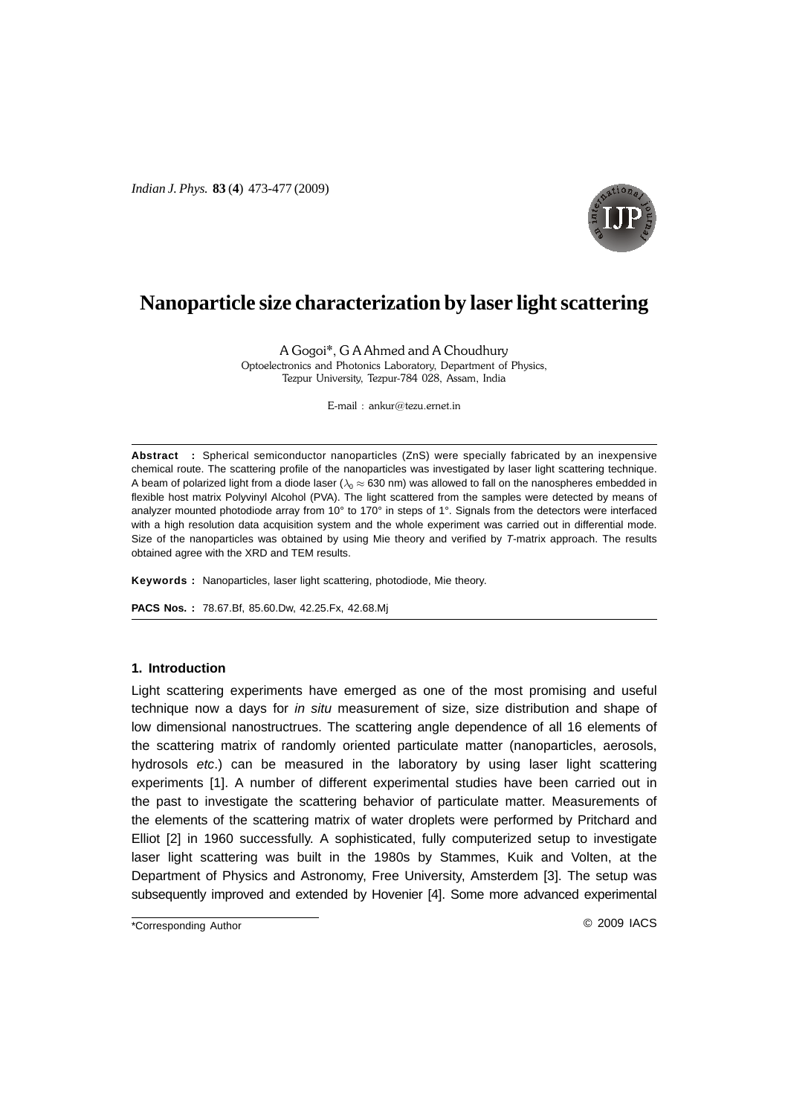*Indian J. Phys.* **83** (**4**) 473-477 (2009)



# **Nanoparticle size characterization by laser light scattering**

A Gogoi\*, G A Ahmed and A Choudhury Optoelectronics and Photonics Laboratory, Department of Physics, Tezpur University, Tezpur-784 028, Assam, India

 $E$ -mail: ankur@tezu.ernet.in

**Abstract :** Spherical semiconductor nanoparticles (ZnS) were specially fabricated by an inexpensive chemical route. The scattering profile of the nanoparticles was investigated by laser light scattering technique. A beam of polarized light from a diode laser ( $\lambda_0 \approx 630$  nm) was allowed to fall on the nanospheres embedded in flexible host matrix Polyvinyl Alcohol (PVA). The light scattered from the samples were detected by means of analyzer mounted photodiode array from 10° to 170° in steps of 1°. Signals from the detectors were interfaced with a high resolution data acquisition system and the whole experiment was carried out in differential mode. Size of the nanoparticles was obtained by using Mie theory and verified by T-matrix approach. The results obtained agree with the XRD and TEM results.

**Keywords :** Nanoparticles, laser light scattering, photodiode, Mie theory.

**PACS Nos. :** 78.67.Bf, 85.60.Dw, 42.25.Fx, 42.68.Mj

## **1. Introduction**

Light scattering experiments have emerged as one of the most promising and useful technique now a days for in situ measurement of size, size distribution and shape of low dimensional nanostructrues. The scattering angle dependence of all 16 elements of the scattering matrix of randomly oriented particulate matter (nanoparticles, aerosols, hydrosols etc.) can be measured in the laboratory by using laser light scattering experiments [1]. A number of different experimental studies have been carried out in the past to investigate the scattering behavior of particulate matter. Measurements of the elements of the scattering matrix of water droplets were performed by Pritchard and Elliot [2] in 1960 successfully. A sophisticated, fully computerized setup to investigate laser light scattering was built in the 1980s by Stammes, Kuik and Volten, at the Department of Physics and Astronomy, Free University, Amsterdem [3]. The setup was subsequently improved and extended by Hovenier [4]. Some more advanced experimental

\*Corresponding Author **Contract Contract Contract Contract Contract Contract Contract Contract Contract Contract Contract Contract Contract Contract Contract Contract Contract Contract Contract Contract Contract Contract C**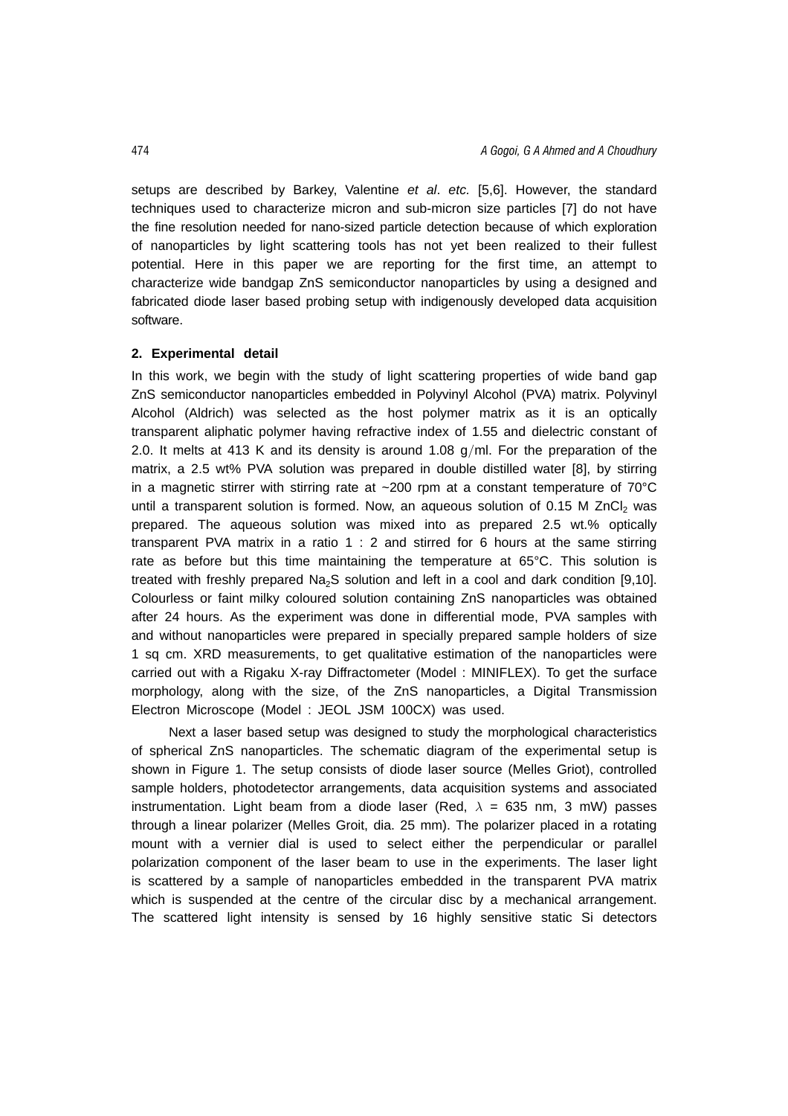setups are described by Barkey, Valentine et al. etc. [5,6]. However, the standard techniques used to characterize micron and sub-micron size particles [7] do not have the fine resolution needed for nano-sized particle detection because of which exploration of nanoparticles by light scattering tools has not yet been realized to their fullest potential. Here in this paper we are reporting for the first time, an attempt to characterize wide bandgap ZnS semiconductor nanoparticles by using a designed and fabricated diode laser based probing setup with indigenously developed data acquisition software.

# **2. Experimental detail**

In this work, we begin with the study of light scattering properties of wide band gap ZnS semiconductor nanoparticles embedded in Polyvinyl Alcohol (PVA) matrix. Polyvinyl Alcohol (Aldrich) was selected as the host polymer matrix as it is an optically transparent aliphatic polymer having refractive index of 1.55 and dielectric constant of 2.0. It melts at 413 K and its density is around 1.08  $q/ml$ . For the preparation of the matrix, a 2.5 wt% PVA solution was prepared in double distilled water [8], by stirring in a magnetic stirrer with stirring rate at  $\sim$  200 rpm at a constant temperature of 70 $\degree$ C until a transparent solution is formed. Now, an aqueous solution of  $0.15$  M ZnCl<sub>2</sub> was prepared. The aqueous solution was mixed into as prepared 2.5 wt.% optically transparent PVA matrix in a ratio 1 : 2 and stirred for 6 hours at the same stirring rate as before but this time maintaining the temperature at 65°C. This solution is treated with freshly prepared  $Na<sub>2</sub>S$  solution and left in a cool and dark condition [9,10]. Colourless or faint milky coloured solution containing ZnS nanoparticles was obtained after 24 hours. As the experiment was done in differential mode, PVA samples with and without nanoparticles were prepared in specially prepared sample holders of size 1 sq cm. XRD measurements, to get qualitative estimation of the nanoparticles were carried out with a Rigaku X-ray Diffractometer (Model : MINIFLEX). To get the surface morphology, along with the size, of the ZnS nanoparticles, a Digital Transmission Electron Microscope (Model : JEOL JSM 100CX) was used.

Next a laser based setup was designed to study the morphological characteristics of spherical ZnS nanoparticles. The schematic diagram of the experimental setup is shown in Figure 1. The setup consists of diode laser source (Melles Griot), controlled sample holders, photodetector arrangements, data acquisition systems and associated instrumentation. Light beam from a diode laser (Red, *λ* = 635 nm, 3 mW) passes through a linear polarizer (Melles Groit, dia. 25 mm). The polarizer placed in a rotating mount with a vernier dial is used to select either the perpendicular or parallel polarization component of the laser beam to use in the experiments. The laser light is scattered by a sample of nanoparticles embedded in the transparent PVA matrix which is suspended at the centre of the circular disc by a mechanical arrangement. The scattered light intensity is sensed by 16 highly sensitive static Si detectors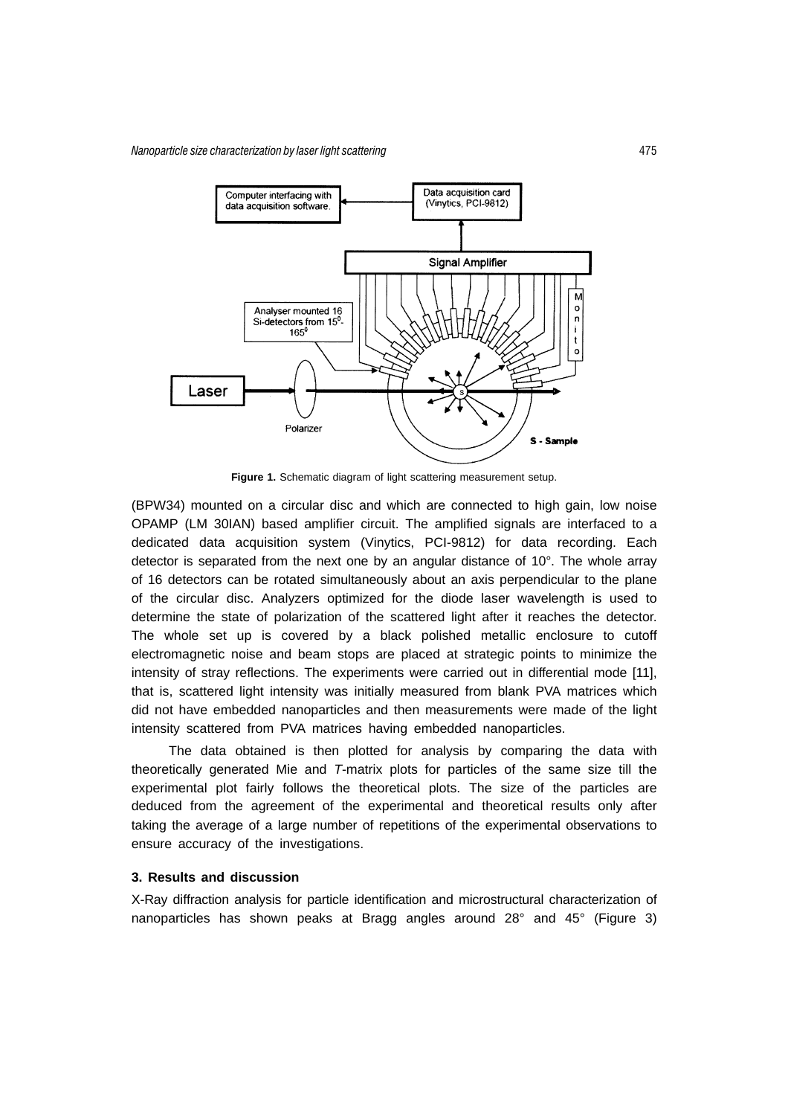Nanoparticle size characterization by laser light scatte ring the contract of the contract of the contract of the contract of the contract of the contract of the contract of the contract of the contract of the contract of the contract of the contract of the contract of the contr



**Figure 1.** Schematic diagram of light scattering measurement setup.

(BPW34) mounted on a circular disc and which are connected to high gain, low noise OPAMP (LM 30IAN) based amplifier circuit. The amplified signals are interfaced to a dedicated data acquisition system (Vinytics, PCI-9812) for data recording. Each detector is separated from the next one by an angular distance of 10°. The whole array of 16 detectors can be rotated simultaneously about an axis perpendicular to the plane of the circular disc. Analyzers optimized for the diode laser wavelength is used to determine the state of polarization of the scattered light after it reaches the detector. The whole set up is covered by a black polished metallic enclosure to cutoff electromagnetic noise and beam stops are placed at strategic points to minimize the intensity of stray reflections. The experiments were carried out in differential mode [11], that is, scattered light intensity was initially measured from blank PVA matrices which did not have embedded nanoparticles and then measurements were made of the light intensity scattered from PVA matrices having embedded nanoparticles.

The data obtained is then plotted for analysis by comparing the data with theoretically generated Mie and T-matrix plots for particles of the same size till the experimental plot fairly follows the theoretical plots. The size of the particles are deduced from the agreement of the experimental and theoretical results only after taking the average of a large number of repetitions of the experimental observations to ensure accuracy of the investigations.

# **3. Results and discussion**

X-Ray diffraction analysis for particle identification and microstructural characterization of nanoparticles has shown peaks at Bragg angles around 28° and 45° (Figure 3)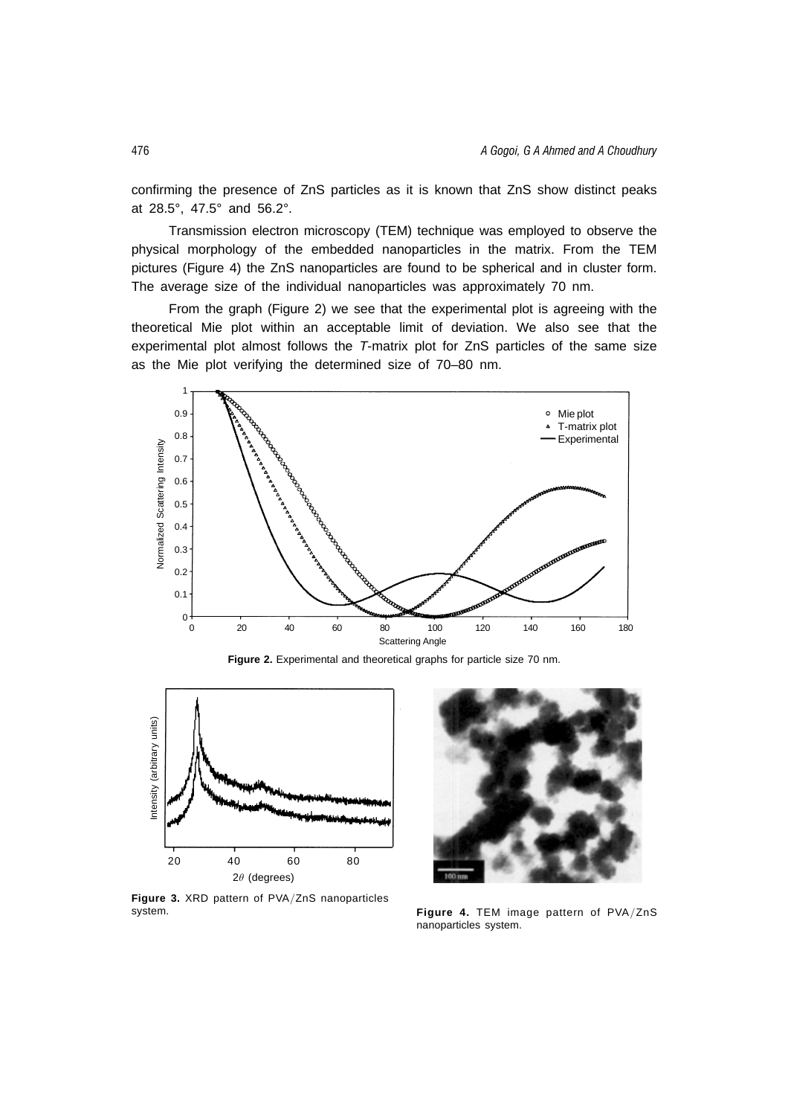confirming the presence of ZnS particles as it is known that ZnS show distinct peaks at 28.5°, 47.5° and 56.2°.

Transmission electron microscopy (TEM) technique was employed to observe the physical morphology of the embedded nanoparticles in the matrix. From the TEM pictures (Figure 4) the ZnS nanoparticles are found to be spherical and in cluster form. The average size of the individual nanoparticles was approximately 70 nm.

From the graph (Figure 2) we see that the experimental plot is agreeing with the theoretical Mie plot within an acceptable limit of deviation. We also see that the experimental plot almost follows the T-matrix plot for ZnS particles of the same size as the Mie plot verifying the determined size of 70–80 nm.



**Figure 2.** Experimental and theoretical graphs for particle size 70 nm.



**Figure 3.** XRD pattern of PVA/ZnS nanoparticles system.



**Figure 4.** TEM image pattern of PVA/ZnS nanoparticles system.